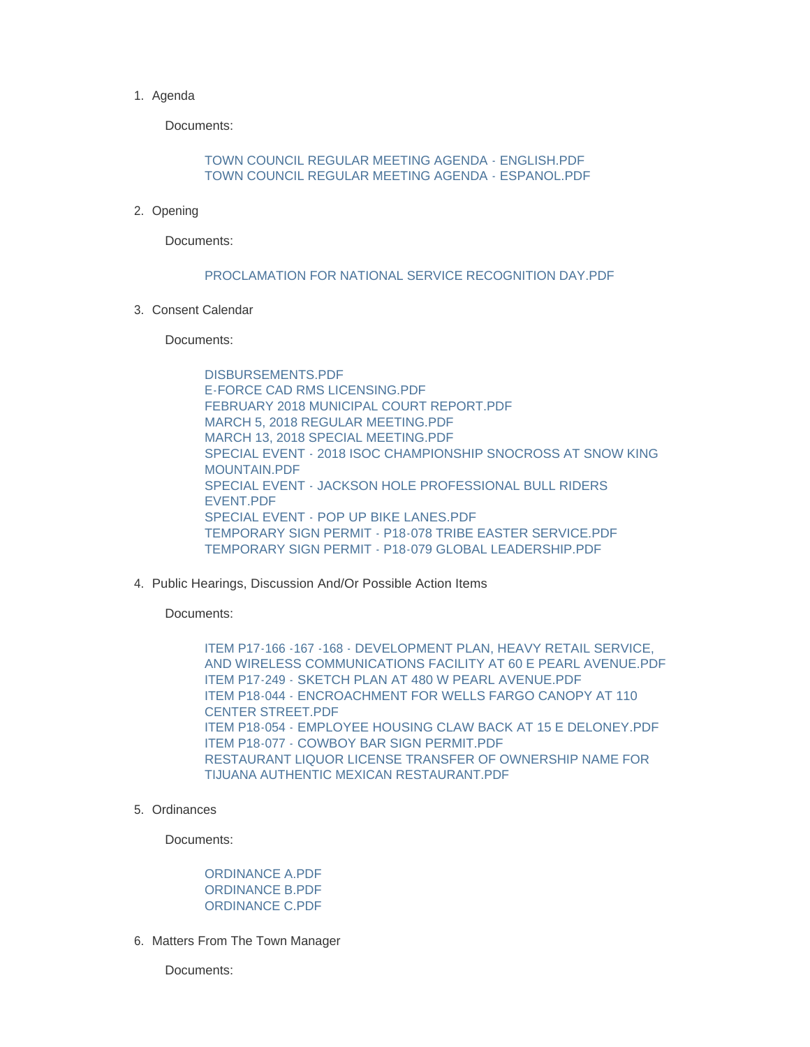## 1. Agenda

Documents:

## [TOWN COUNCIL REGULAR MEETING AGENDA - ENGLISH.PDF](http://wy-jackson.civicplus.com/AgendaCenter/ViewFile/Item/467?fileID=1324) [TOWN COUNCIL REGULAR MEETING AGENDA - ESPANOL.PDF](http://wy-jackson.civicplus.com/AgendaCenter/ViewFile/Item/467?fileID=1325)

2. Opening

Documents:

## [PROCLAMATION FOR NATIONAL SERVICE RECOGNITION DAY.PDF](http://wy-jackson.civicplus.com/AgendaCenter/ViewFile/Item/468?fileID=1326)

Consent Calendar 3.

Documents:

[DISBURSEMENTS.PDF](http://wy-jackson.civicplus.com/AgendaCenter/ViewFile/Item/470?fileID=1329) [E-FORCE CAD RMS LICENSING.PDF](http://wy-jackson.civicplus.com/AgendaCenter/ViewFile/Item/470?fileID=1330) [FEBRUARY 2018 MUNICIPAL COURT REPORT.PDF](http://wy-jackson.civicplus.com/AgendaCenter/ViewFile/Item/470?fileID=1331) [MARCH 5, 2018 REGULAR MEETING.PDF](http://wy-jackson.civicplus.com/AgendaCenter/ViewFile/Item/470?fileID=1332) [MARCH 13, 2018 SPECIAL MEETING.PDF](http://wy-jackson.civicplus.com/AgendaCenter/ViewFile/Item/470?fileID=1333) [SPECIAL EVENT - 2018 ISOC CHAMPIONSHIP SNOCROSS AT SNOW KING](http://wy-jackson.civicplus.com/AgendaCenter/ViewFile/Item/470?fileID=1334)  MOUNTAIN PDF [SPECIAL EVENT - JACKSON HOLE PROFESSIONAL BULL RIDERS](http://wy-jackson.civicplus.com/AgendaCenter/ViewFile/Item/470?fileID=1335)  EVENT.PDF [SPECIAL EVENT - POP UP BIKE LANES.PDF](http://wy-jackson.civicplus.com/AgendaCenter/ViewFile/Item/470?fileID=1336) [TEMPORARY SIGN PERMIT - P18-078 TRIBE EASTER SERVICE.PDF](http://wy-jackson.civicplus.com/AgendaCenter/ViewFile/Item/470?fileID=1337) [TEMPORARY SIGN PERMIT - P18-079 GLOBAL LEADERSHIP.PDF](http://wy-jackson.civicplus.com/AgendaCenter/ViewFile/Item/470?fileID=1338)

4. Public Hearings, Discussion And/Or Possible Action Items

Documents:

ITEM P17-166 -167 -168 - DEVELOPMENT PLAN, HEAVY RETAIL SERVICE, [AND WIRELESS COMMUNICATIONS FACILITY AT 60 E PEARL AVENUE.PDF](http://wy-jackson.civicplus.com/AgendaCenter/ViewFile/Item/472?fileID=1341) [ITEM P17-249 - SKETCH PLAN AT 480 W PEARL AVENUE.PDF](http://wy-jackson.civicplus.com/AgendaCenter/ViewFile/Item/472?fileID=1342) [ITEM P18-044 - ENCROACHMENT FOR WELLS FARGO CANOPY AT 110](http://wy-jackson.civicplus.com/AgendaCenter/ViewFile/Item/472?fileID=1343)  CENTER STREET.PDF [ITEM P18-054 - EMPLOYEE HOUSING CLAW BACK AT 15 E DELONEY.PDF](http://wy-jackson.civicplus.com/AgendaCenter/ViewFile/Item/472?fileID=1344) [ITEM P18-077 - COWBOY BAR SIGN PERMIT.PDF](http://wy-jackson.civicplus.com/AgendaCenter/ViewFile/Item/472?fileID=1345) [RESTAURANT LIQUOR LICENSE TRANSFER OF OWNERSHIP NAME FOR](http://wy-jackson.civicplus.com/AgendaCenter/ViewFile/Item/472?fileID=1346)  TIJUANA AUTHENTIC MEXICAN RESTAURANT.PDF

5. Ordinances

Documents:

## [ORDINANCE A.PDF](http://wy-jackson.civicplus.com/AgendaCenter/ViewFile/Item/474?fileID=1348) [ORDINANCE B.PDF](http://wy-jackson.civicplus.com/AgendaCenter/ViewFile/Item/474?fileID=1349) [ORDINANCE C.PDF](http://wy-jackson.civicplus.com/AgendaCenter/ViewFile/Item/474?fileID=1350)

6. Matters From The Town Manager

Documents: